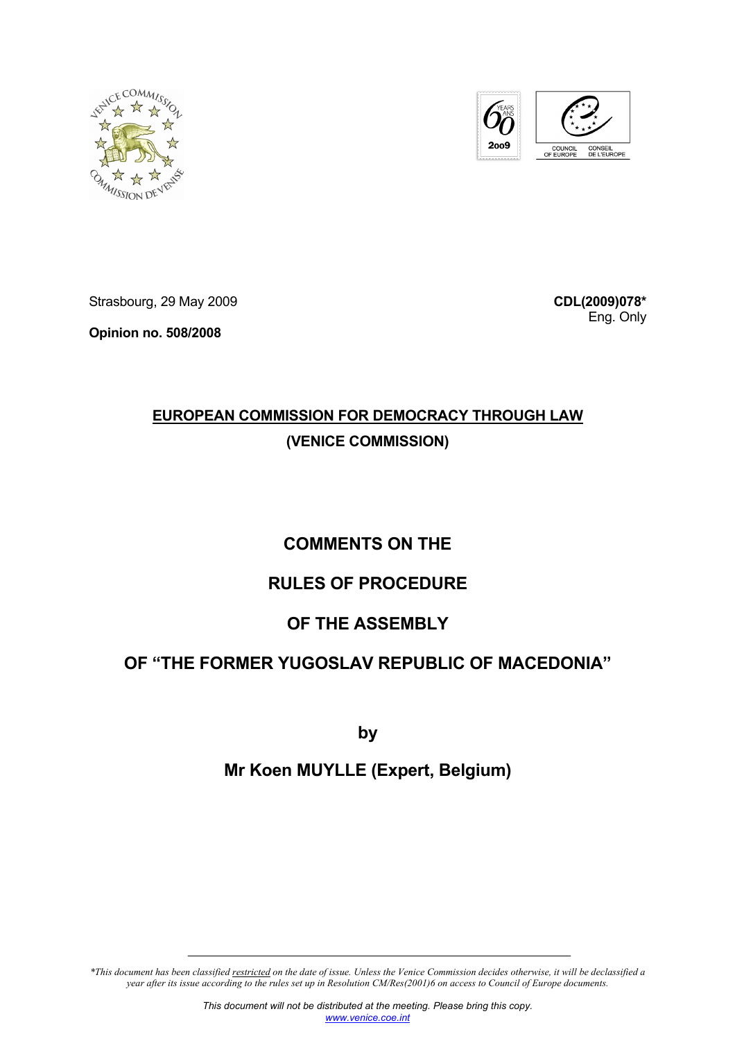



Strasbourg, 29 May 2009 **CDL(2009)078\***

**Opinion no. 508/2008** 

Eng. Only

# **EUROPEAN COMMISSION FOR DEMOCRACY THROUGH LAW (VENICE COMMISSION)**

# **COMMENTS ON THE**

# **RULES OF PROCEDURE**

# **OF THE ASSEMBLY**

## **OF "THE FORMER YUGOSLAV REPUBLIC OF MACEDONIA"**

**by** 

## **Mr Koen MUYLLE (Expert, Belgium)**

*\*This document has been classified restricted on the date of issue. Unless the Venice Commission decides otherwise, it will be declassified a year after its issue according to the rules set up in Resolution CM/Res(2001)6 on access to Council of Europe documents.*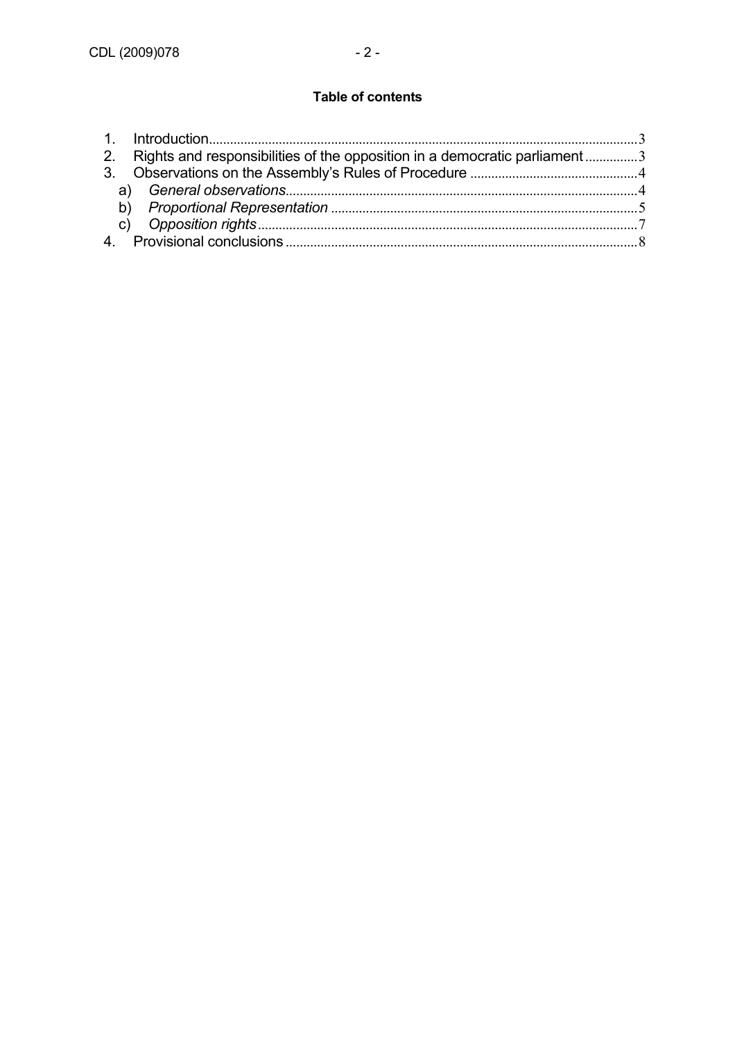### Table of contents

|    | 2. Rights and responsibilities of the opposition in a democratic parliament 3 |  |
|----|-------------------------------------------------------------------------------|--|
|    |                                                                               |  |
|    |                                                                               |  |
|    |                                                                               |  |
| C) |                                                                               |  |
|    |                                                                               |  |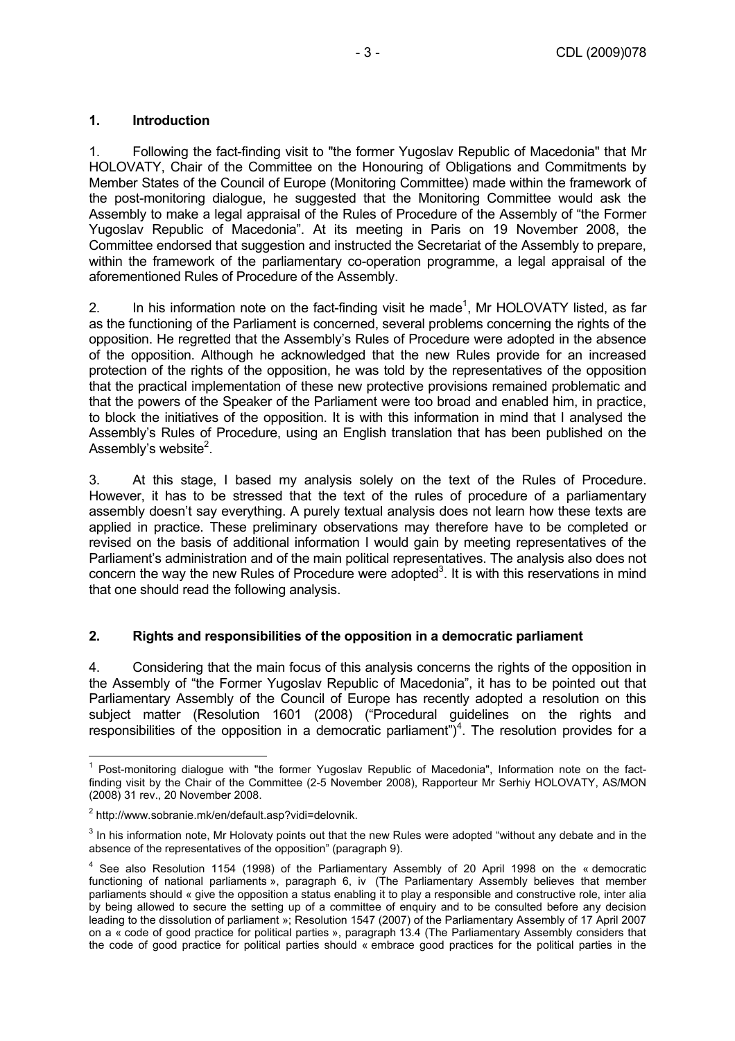### **1. Introduction**

1. Following the fact-finding visit to "the former Yugoslav Republic of Macedonia" that Mr HOLOVATY, Chair of the Committee on the Honouring of Obligations and Commitments by Member States of the Council of Europe (Monitoring Committee) made within the framework of the post-monitoring dialogue, he suggested that the Monitoring Committee would ask the Assembly to make a legal appraisal of the Rules of Procedure of the Assembly of "the Former Yugoslav Republic of Macedonia". At its meeting in Paris on 19 November 2008, the Committee endorsed that suggestion and instructed the Secretariat of the Assembly to prepare, within the framework of the parliamentary co-operation programme, a legal appraisal of the aforementioned Rules of Procedure of the Assembly.

2. In his information note on the fact-finding visit he made<sup>1</sup>, Mr HOLOVATY listed, as far as the functioning of the Parliament is concerned, several problems concerning the rights of the opposition. He regretted that the Assembly's Rules of Procedure were adopted in the absence of the opposition. Although he acknowledged that the new Rules provide for an increased protection of the rights of the opposition, he was told by the representatives of the opposition that the practical implementation of these new protective provisions remained problematic and that the powers of the Speaker of the Parliament were too broad and enabled him, in practice, to block the initiatives of the opposition. It is with this information in mind that I analysed the Assembly's Rules of Procedure, using an English translation that has been published on the Assembly's website<sup>2</sup>.

3. At this stage, I based my analysis solely on the text of the Rules of Procedure. However, it has to be stressed that the text of the rules of procedure of a parliamentary assembly doesn't say everything. A purely textual analysis does not learn how these texts are applied in practice. These preliminary observations may therefore have to be completed or revised on the basis of additional information I would gain by meeting representatives of the Parliament's administration and of the main political representatives. The analysis also does not concern the way the new Rules of Procedure were adopted<sup>3</sup>. It is with this reservations in mind that one should read the following analysis.

### **2. Rights and responsibilities of the opposition in a democratic parliament**

4. Considering that the main focus of this analysis concerns the rights of the opposition in the Assembly of "the Former Yugoslav Republic of Macedonia", it has to be pointed out that Parliamentary Assembly of the Council of Europe has recently adopted a resolution on this subject matter (Resolution 1601 (2008) ("Procedural guidelines on the rights and responsibilities of the opposition in a democratic parliament")<sup>4</sup>. The resolution provides for a

 1 Post-monitoring dialogue with "the former Yugoslav Republic of Macedonia", Information note on the factfinding visit by the Chair of the Committee (2-5 November 2008), Rapporteur Mr Serhiy HOLOVATY, AS/MON (2008) 31 rev., 20 November 2008.

<sup>&</sup>lt;sup>2</sup> http://www.sobranie.mk/en/default.asp?vidi=delovnik.

 $3$  In his information note, Mr Holovaty points out that the new Rules were adopted "without any debate and in the absence of the representatives of the opposition" (paragraph 9).

<sup>&</sup>lt;sup>4</sup> See also Resolution 1154 (1998) of the Parliamentary Assembly of 20 April 1998 on the « democratic functioning of national parliaments », paragraph 6, iv (The Parliamentary Assembly believes that member parliaments should « give the opposition a status enabling it to play a responsible and constructive role, inter alia by being allowed to secure the setting up of a committee of enquiry and to be consulted before any decision leading to the dissolution of parliament »; Resolution 1547 (2007) of the Parliamentary Assembly of 17 April 2007 on a « code of good practice for political parties », paragraph 13.4 (The Parliamentary Assembly considers that the code of good practice for political parties should « embrace good practices for the political parties in the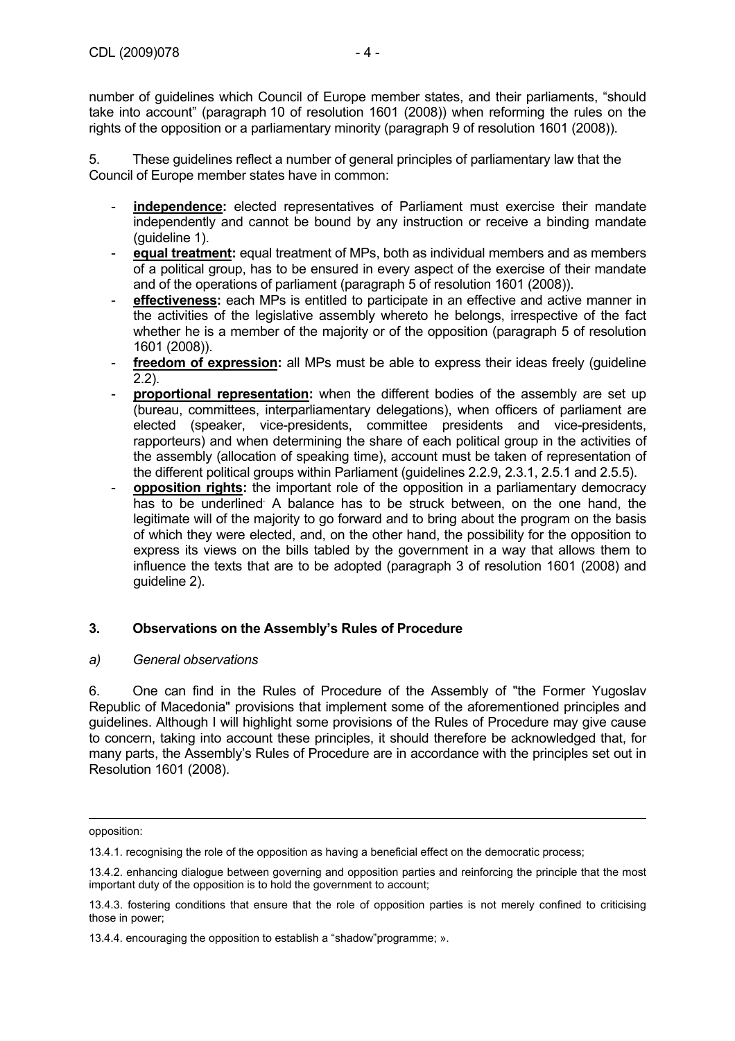number of guidelines which Council of Europe member states, and their parliaments, "should take into account" (paragraph 10 of resolution 1601 (2008)) when reforming the rules on the rights of the opposition or a parliamentary minority (paragraph 9 of resolution 1601 (2008)).

5. These guidelines reflect a number of general principles of parliamentary law that the Council of Europe member states have in common:

- independence: elected representatives of Parliament must exercise their mandate independently and cannot be bound by any instruction or receive a binding mandate (guideline 1).
- **equal treatment:** equal treatment of MPs, both as individual members and as members of a political group, has to be ensured in every aspect of the exercise of their mandate and of the operations of parliament (paragraph 5 of resolution 1601 (2008)).
- **effectiveness:** each MPs is entitled to participate in an effective and active manner in the activities of the legislative assembly whereto he belongs, irrespective of the fact whether he is a member of the majority or of the opposition (paragraph 5 of resolution 1601 (2008)).
- **freedom of expression:** all MPs must be able to express their ideas freely (guideline 2.2).
- proportional representation: when the different bodies of the assembly are set up (bureau, committees, interparliamentary delegations), when officers of parliament are elected (speaker, vice-presidents, committee presidents and vice-presidents, rapporteurs) and when determining the share of each political group in the activities of the assembly (allocation of speaking time), account must be taken of representation of the different political groups within Parliament (guidelines 2.2.9, 2.3.1, 2.5.1 and 2.5.5).
- **opposition rights:** the important role of the opposition in a parliamentary democracy has to be underlined A balance has to be struck between, on the one hand, the legitimate will of the majority to go forward and to bring about the program on the basis of which they were elected, and, on the other hand, the possibility for the opposition to express its views on the bills tabled by the government in a way that allows them to influence the texts that are to be adopted (paragraph 3 of resolution 1601 (2008) and guideline 2).

### **3. Observations on the Assembly's Rules of Procedure**

#### *a) General observations*

6. One can find in the Rules of Procedure of the Assembly of "the Former Yugoslav Republic of Macedonia" provisions that implement some of the aforementioned principles and guidelines. Although I will highlight some provisions of the Rules of Procedure may give cause to concern, taking into account these principles, it should therefore be acknowledged that, for many parts, the Assembly's Rules of Procedure are in accordance with the principles set out in Resolution 1601 (2008).

 $\overline{a}$ 

opposition:

<sup>13.4.1.</sup> recognising the role of the opposition as having a beneficial effect on the democratic process;

<sup>13.4.2.</sup> enhancing dialogue between governing and opposition parties and reinforcing the principle that the most important duty of the opposition is to hold the government to account;

<sup>13.4.3.</sup> fostering conditions that ensure that the role of opposition parties is not merely confined to criticising those in power;

<sup>13.4.4.</sup> encouraging the opposition to establish a "shadow"programme; ».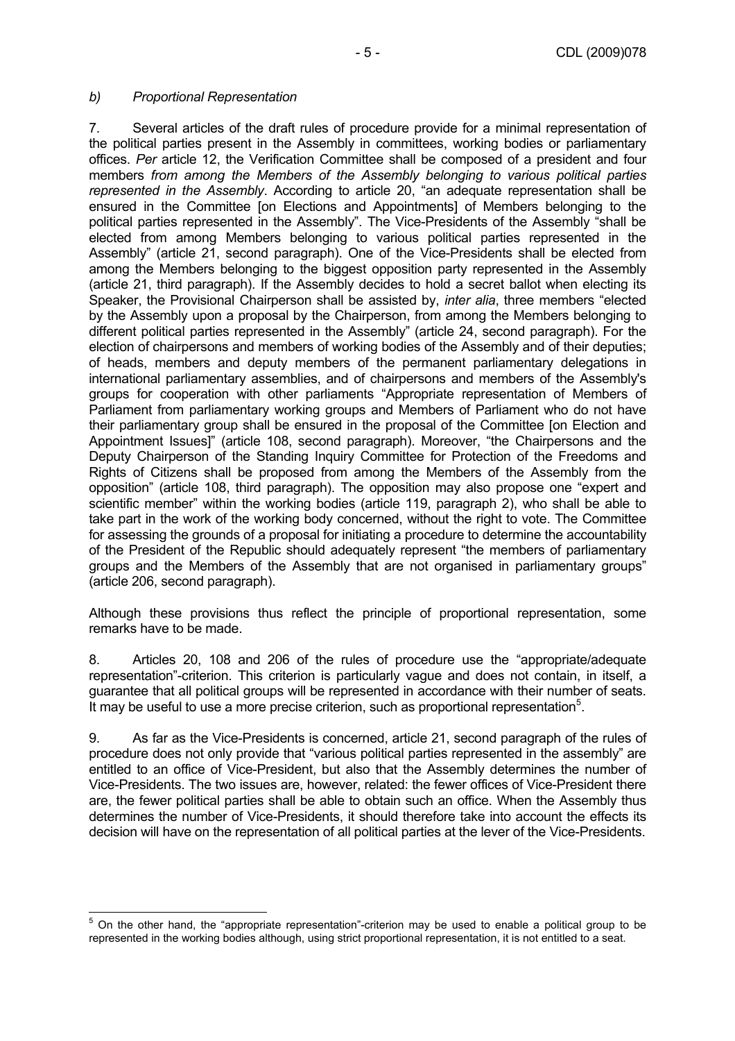#### *b) Proportional Representation*

7. Several articles of the draft rules of procedure provide for a minimal representation of the political parties present in the Assembly in committees, working bodies or parliamentary offices. *Per* article 12, the Verification Committee shall be composed of a president and four members *from among the Members of the Assembly belonging to various political parties represented in the Assembly*. According to article 20, "an adequate representation shall be ensured in the Committee [on Elections and Appointments] of Members belonging to the political parties represented in the Assembly". The Vice-Presidents of the Assembly "shall be elected from among Members belonging to various political parties represented in the Assembly" (article 21, second paragraph). One of the Vice-Presidents shall be elected from among the Members belonging to the biggest opposition party represented in the Assembly (article 21, third paragraph). If the Assembly decides to hold a secret ballot when electing its Speaker, the Provisional Chairperson shall be assisted by, *inter alia*, three members "elected by the Assembly upon a proposal by the Chairperson, from among the Members belonging to different political parties represented in the Assembly" (article 24, second paragraph). For the election of chairpersons and members of working bodies of the Assembly and of their deputies; of heads, members and deputy members of the permanent parliamentary delegations in international parliamentary assemblies, and of chairpersons and members of the Assembly's groups for cooperation with other parliaments "Appropriate representation of Members of Parliament from parliamentary working groups and Members of Parliament who do not have their parliamentary group shall be ensured in the proposal of the Committee [on Election and Appointment Issues]" (article 108, second paragraph). Moreover, "the Chairpersons and the Deputy Chairperson of the Standing Inquiry Committee for Protection of the Freedoms and Rights of Citizens shall be proposed from among the Members of the Assembly from the opposition" (article 108, third paragraph). The opposition may also propose one "expert and scientific member" within the working bodies (article 119, paragraph 2), who shall be able to take part in the work of the working body concerned, without the right to vote. The Committee for assessing the grounds of a proposal for initiating a procedure to determine the accountability of the President of the Republic should adequately represent "the members of parliamentary groups and the Members of the Assembly that are not organised in parliamentary groups" (article 206, second paragraph).

Although these provisions thus reflect the principle of proportional representation, some remarks have to be made.

8. Articles 20, 108 and 206 of the rules of procedure use the "appropriate/adequate representation"-criterion. This criterion is particularly vague and does not contain, in itself, a guarantee that all political groups will be represented in accordance with their number of seats. It may be useful to use a more precise criterion, such as proportional representation<sup>5</sup>.

9. As far as the Vice-Presidents is concerned, article 21, second paragraph of the rules of procedure does not only provide that "various political parties represented in the assembly" are entitled to an office of Vice-President, but also that the Assembly determines the number of Vice-Presidents. The two issues are, however, related: the fewer offices of Vice-President there are, the fewer political parties shall be able to obtain such an office. When the Assembly thus determines the number of Vice-Presidents, it should therefore take into account the effects its decision will have on the representation of all political parties at the lever of the Vice-Presidents.

**EXECTS 10**<br><sup>5</sup> On the other hand, the "appropriate representation"-criterion may be used to enable a political group to be represented in the working bodies although, using strict proportional representation, it is not entitled to a seat.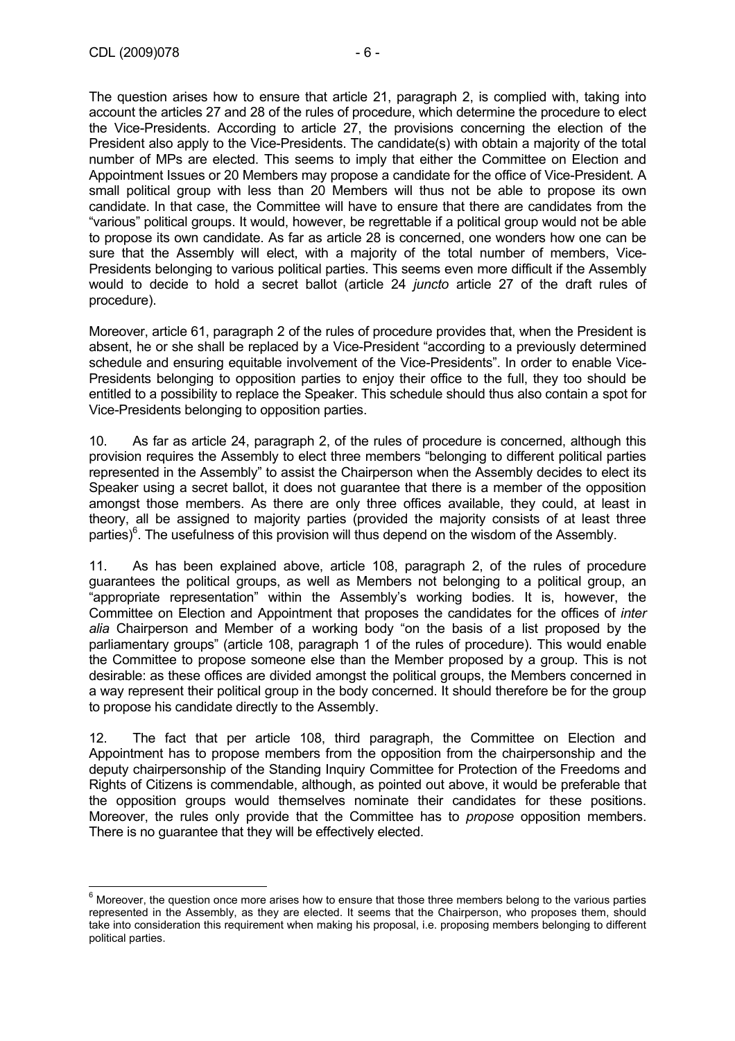$\overline{a}$ 

The question arises how to ensure that article 21, paragraph 2, is complied with, taking into account the articles 27 and 28 of the rules of procedure, which determine the procedure to elect the Vice-Presidents. According to article 27, the provisions concerning the election of the President also apply to the Vice-Presidents. The candidate(s) with obtain a majority of the total number of MPs are elected. This seems to imply that either the Committee on Election and Appointment Issues or 20 Members may propose a candidate for the office of Vice-President. A small political group with less than 20 Members will thus not be able to propose its own candidate. In that case, the Committee will have to ensure that there are candidates from the "various" political groups. It would, however, be regrettable if a political group would not be able to propose its own candidate. As far as article 28 is concerned, one wonders how one can be sure that the Assembly will elect, with a majority of the total number of members, Vice-Presidents belonging to various political parties. This seems even more difficult if the Assembly would to decide to hold a secret ballot (article 24 *juncto* article 27 of the draft rules of procedure).

Moreover, article 61, paragraph 2 of the rules of procedure provides that, when the President is absent, he or she shall be replaced by a Vice-President "according to a previously determined schedule and ensuring equitable involvement of the Vice-Presidents". In order to enable Vice-Presidents belonging to opposition parties to enjoy their office to the full, they too should be entitled to a possibility to replace the Speaker. This schedule should thus also contain a spot for Vice-Presidents belonging to opposition parties.

10. As far as article 24, paragraph 2, of the rules of procedure is concerned, although this provision requires the Assembly to elect three members "belonging to different political parties represented in the Assembly" to assist the Chairperson when the Assembly decides to elect its Speaker using a secret ballot, it does not guarantee that there is a member of the opposition amongst those members. As there are only three offices available, they could, at least in theory, all be assigned to majority parties (provided the majority consists of at least three parties) $6$ . The usefulness of this provision will thus depend on the wisdom of the Assembly.

11. As has been explained above, article 108, paragraph 2, of the rules of procedure guarantees the political groups, as well as Members not belonging to a political group, an "appropriate representation" within the Assembly's working bodies. It is, however, the Committee on Election and Appointment that proposes the candidates for the offices of *inter alia* Chairperson and Member of a working body "on the basis of a list proposed by the parliamentary groups" (article 108, paragraph 1 of the rules of procedure). This would enable the Committee to propose someone else than the Member proposed by a group. This is not desirable: as these offices are divided amongst the political groups, the Members concerned in a way represent their political group in the body concerned. It should therefore be for the group to propose his candidate directly to the Assembly.

12. The fact that per article 108, third paragraph, the Committee on Election and Appointment has to propose members from the opposition from the chairpersonship and the deputy chairpersonship of the Standing Inquiry Committee for Protection of the Freedoms and Rights of Citizens is commendable, although, as pointed out above, it would be preferable that the opposition groups would themselves nominate their candidates for these positions. Moreover, the rules only provide that the Committee has to *propose* opposition members. There is no guarantee that they will be effectively elected.

 $<sup>6</sup>$  Moreover, the question once more arises how to ensure that those three members belong to the various parties</sup> represented in the Assembly, as they are elected. It seems that the Chairperson, who proposes them, should take into consideration this requirement when making his proposal, i.e. proposing members belonging to different political parties.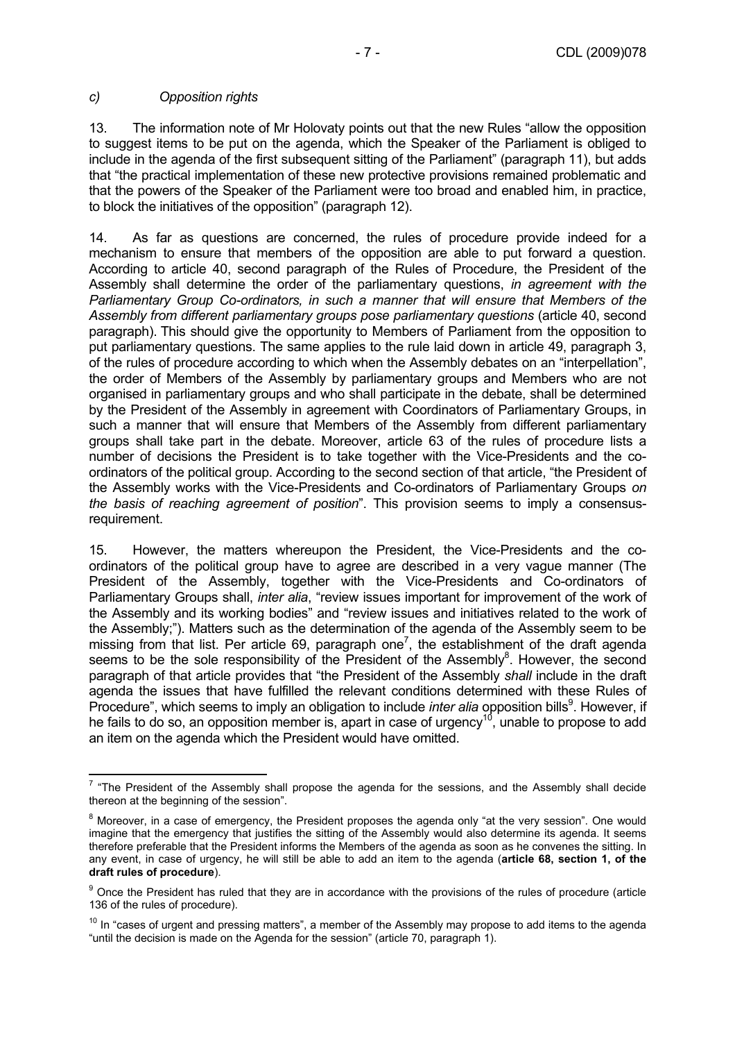#### *c) Opposition rights*

13. The information note of Mr Holovaty points out that the new Rules "allow the opposition to suggest items to be put on the agenda, which the Speaker of the Parliament is obliged to include in the agenda of the first subsequent sitting of the Parliament" (paragraph 11), but adds that "the practical implementation of these new protective provisions remained problematic and that the powers of the Speaker of the Parliament were too broad and enabled him, in practice, to block the initiatives of the opposition" (paragraph 12).

14. As far as questions are concerned, the rules of procedure provide indeed for a mechanism to ensure that members of the opposition are able to put forward a question. According to article 40, second paragraph of the Rules of Procedure, the President of the Assembly shall determine the order of the parliamentary questions, *in agreement with the Parliamentary Group Co-ordinators, in such a manner that will ensure that Members of the Assembly from different parliamentary groups pose parliamentary questions* (article 40, second paragraph). This should give the opportunity to Members of Parliament from the opposition to put parliamentary questions. The same applies to the rule laid down in article 49, paragraph 3, of the rules of procedure according to which when the Assembly debates on an "interpellation", the order of Members of the Assembly by parliamentary groups and Members who are not organised in parliamentary groups and who shall participate in the debate, shall be determined by the President of the Assembly in agreement with Coordinators of Parliamentary Groups, in such a manner that will ensure that Members of the Assembly from different parliamentary groups shall take part in the debate. Moreover, article 63 of the rules of procedure lists a number of decisions the President is to take together with the Vice-Presidents and the coordinators of the political group. According to the second section of that article, "the President of the Assembly works with the Vice-Presidents and Co-ordinators of Parliamentary Groups *on the basis of reaching agreement of position*". This provision seems to imply a consensusrequirement.

15. However, the matters whereupon the President, the Vice-Presidents and the coordinators of the political group have to agree are described in a very vague manner (The President of the Assembly, together with the Vice-Presidents and Co-ordinators of Parliamentary Groups shall, *inter alia*, "review issues important for improvement of the work of the Assembly and its working bodies" and "review issues and initiatives related to the work of the Assembly;"). Matters such as the determination of the agenda of the Assembly seem to be missing from that list. Per article 69, paragraph one<sup>7</sup>, the establishment of the draft agenda seems to be the sole responsibility of the President of the Assembly $8$ . However, the second paragraph of that article provides that "the President of the Assembly *shall* include in the draft agenda the issues that have fulfilled the relevant conditions determined with these Rules of Procedure", which seems to imply an obligation to include *inter alia* opposition bills<sup>9</sup>. However, if he fails to do so, an opposition member is, apart in case of urgency<sup>10</sup>, unable to propose to add an item on the agenda which the President would have omitted.

TERT THE President of the Assembly shall propose the agenda for the sessions, and the Assembly shall decide T<br>The President of the Assembly shall propose the agenda for the sessions, and the Assembly shall decide thereon at the beginning of the session".

 $8$  Moreover, in a case of emergency, the President proposes the agenda only "at the very session". One would imagine that the emergency that justifies the sitting of the Assembly would also determine its agenda. It seems therefore preferable that the President informs the Members of the agenda as soon as he convenes the sitting. In any event, in case of urgency, he will still be able to add an item to the agenda (**article 68, section 1, of the draft rules of procedure**).

 $9$  Once the President has ruled that they are in accordance with the provisions of the rules of procedure (article 136 of the rules of procedure).

 $10$  In "cases of urgent and pressing matters", a member of the Assembly may propose to add items to the agenda "until the decision is made on the Agenda for the session" (article 70, paragraph 1).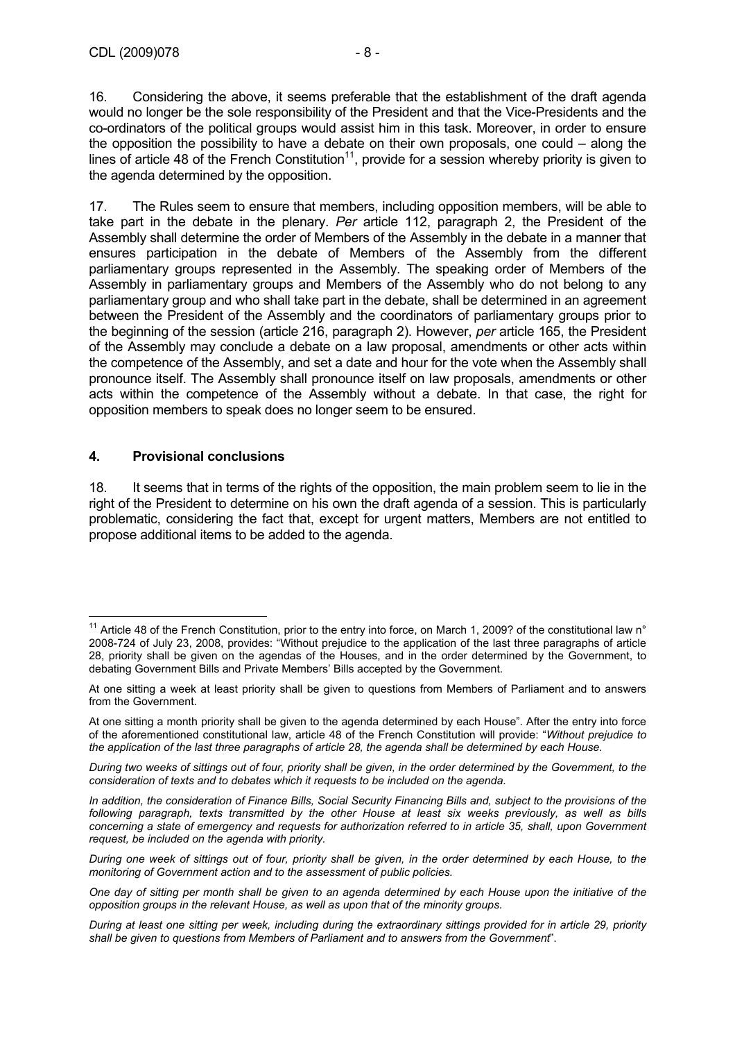16. Considering the above, it seems preferable that the establishment of the draft agenda would no longer be the sole responsibility of the President and that the Vice-Presidents and the co-ordinators of the political groups would assist him in this task. Moreover, in order to ensure the opposition the possibility to have a debate on their own proposals, one could – along the lines of article 48 of the French Constitution<sup>11</sup>, provide for a session whereby priority is given to the agenda determined by the opposition.

17. The Rules seem to ensure that members, including opposition members, will be able to take part in the debate in the plenary. *Per* article 112, paragraph 2, the President of the Assembly shall determine the order of Members of the Assembly in the debate in a manner that ensures participation in the debate of Members of the Assembly from the different parliamentary groups represented in the Assembly. The speaking order of Members of the Assembly in parliamentary groups and Members of the Assembly who do not belong to any parliamentary group and who shall take part in the debate, shall be determined in an agreement between the President of the Assembly and the coordinators of parliamentary groups prior to the beginning of the session (article 216, paragraph 2). However, *per* article 165, the President of the Assembly may conclude a debate on a law proposal, amendments or other acts within the competence of the Assembly, and set a date and hour for the vote when the Assembly shall pronounce itself. The Assembly shall pronounce itself on law proposals, amendments or other acts within the competence of the Assembly without a debate. In that case, the right for opposition members to speak does no longer seem to be ensured.

#### **4. Provisional conclusions**

18. It seems that in terms of the rights of the opposition, the main problem seem to lie in the right of the President to determine on his own the draft agenda of a session. This is particularly problematic, considering the fact that, except for urgent matters, Members are not entitled to propose additional items to be added to the agenda.

 $\overline{a}$ <sup>11</sup> Article 48 of the French Constitution, prior to the entry into force, on March 1, 2009? of the constitutional law n° 2008-724 of July 23, 2008, provides: "Without prejudice to the application of the last three paragraphs of article 28, priority shall be given on the agendas of the Houses, and in the order determined by the Government, to debating Government Bills and Private Members' Bills accepted by the Government.

At one sitting a week at least priority shall be given to questions from Members of Parliament and to answers from the Government.

At one sitting a month priority shall be given to the agenda determined by each House". After the entry into force of the aforementioned constitutional law, article 48 of the French Constitution will provide: "*Without prejudice to the application of the last three paragraphs of article 28, the agenda shall be determined by each House.* 

*During two weeks of sittings out of four, priority shall be given, in the order determined by the Government, to the consideration of texts and to debates which it requests to be included on the agenda.* 

*In addition, the consideration of Finance Bills, Social Security Financing Bills and, subject to the provisions of the following paragraph, texts transmitted by the other House at least six weeks previously, as well as bills concerning a state of emergency and requests for authorization referred to in article 35, shall, upon Government request, be included on the agenda with priority.* 

*During one week of sittings out of four, priority shall be given, in the order determined by each House, to the monitoring of Government action and to the assessment of public policies.* 

*One day of sitting per month shall be given to an agenda determined by each House upon the initiative of the opposition groups in the relevant House, as well as upon that of the minority groups.* 

*During at least one sitting per week, including during the extraordinary sittings provided for in article 29, priority shall be given to questions from Members of Parliament and to answers from the Government*".